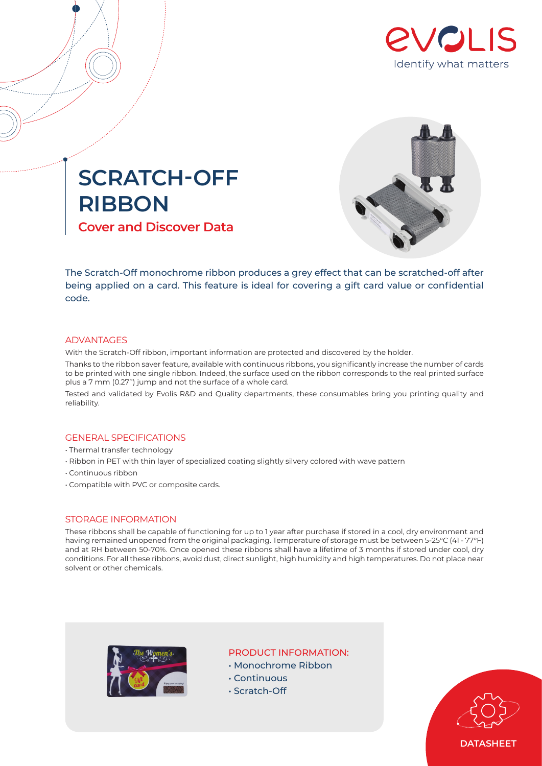





The Scratch-Off monochrome ribbon produces a grey effect that can be scratched-off after being applied on a card. This feature is ideal for covering a gift card value or confidential code.

## ADVANTAGES

With the Scratch-Off ribbon, important information are protected and discovered by the holder.

Thanks to the ribbon saver feature, available with continuous ribbons, you significantly increase the number of cards to be printed with one single ribbon. Indeed, the surface used on the ribbon corresponds to the real printed surface plus a 7 mm (0.27'') jump and not the surface of a whole card.

Tested and validated by Evolis R&D and Quality departments, these consumables bring you printing quality and reliability.

### GENERAL SPECIFICATIONS

- Thermal transfer technology
- Ribbon in PET with thin layer of specialized coating slightly silvery colored with wave pattern
- Continuous ribbon
- Compatible with PVC or composite cards.

### STORAGE INFORMATION

These ribbons shall be capable of functioning for up to 1 year after purchase if stored in a cool, dry environment and having remained unopened from the original packaging. Temperature of storage must be between 5-25°C (41 - 77°F) and at RH between 50-70%. Once opened these ribbons shall have a lifetime of 3 months if stored under cool, dry conditions. For all these ribbons, avoid dust, direct sunlight, high humidity and high temperatures. Do not place near solvent or other chemicals.



# PRODUCT INFORMATION:

- Monochrome Ribbon
- Continuous
- Scratch-Off